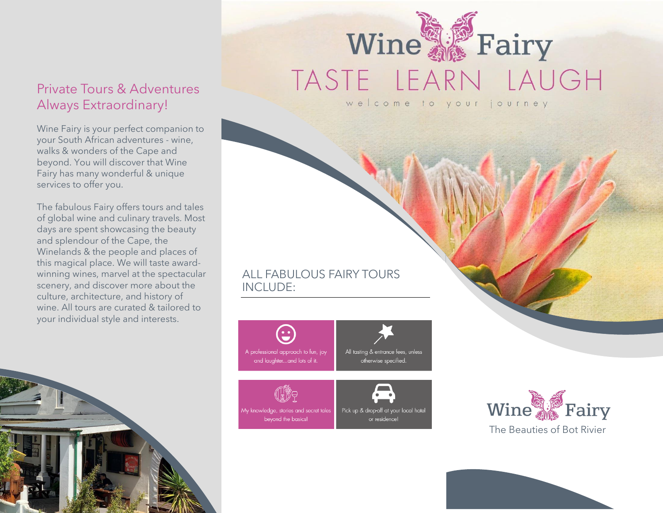### Private Tours & Adventures Always Extraordinary!

Wine Fairy is your perfect companion to your South African adventures - wine, walks & wonders of the Cape and beyond. You will discover that Wine Fairy has many wonderful & unique services to offer you.

The fabulous Fairy offers tours and tales of global wine and culinary travels. Most days are spent showcasing the beauty and splendour of the Cape, the Winelands & the people and places of this magical place. We will taste awardwinning wines, marvel at the spectacular scenery, and discover more about the culture, architecture, and history of wine. All tours are curated & tailored to your individual style and interests.



## Wine A Fairy TASTE LEARN LAUGH welcome to your journey

ALL FABULOUS FAIRY TOURS INCLUDE: